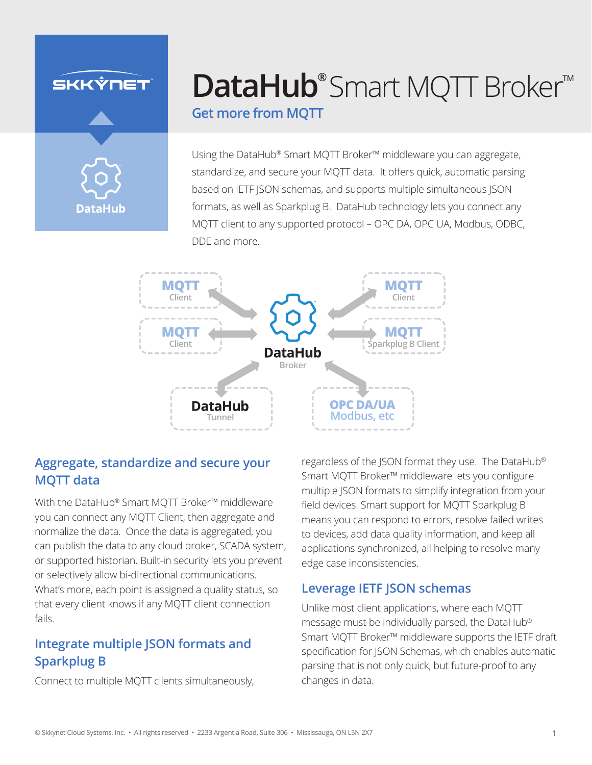## SKKÝNET



# **[DataHub®](https://skkynet.com/datahub/)** Smart MQTT Broker™

### **Get more from MQTT**

Using the DataHub® Smart MQTT Broker™ middleware you can aggregate, standardize, and secure your MQTT data. It offers quick, automatic parsing based on IETF JSON schemas, and supports multiple simultaneous JSON formats, as well as Sparkplug B. DataHub technology lets you connect any MQTT client to any supported protocol – OPC DA, OPC UA, Modbus, ODBC, DDE and more.



### **Aggregate, standardize and secure your MQTT data**

With the DataHub® Smart MQTT Broker™ middleware you can connect any MQTT Client, then aggregate and normalize the data. Once the data is aggregated, you can publish the data to any cloud broker, SCADA system, or supported historian. Built-in security lets you prevent or selectively allow bi-directional communications. What's more, each point is assigned a quality status, so that every client knows if any MQTT client connection fails.

### **Integrate multiple JSON formats and Sparkplug B**

Connect to multiple MQTT clients simultaneously,

regardless of the JSON format they use. The DataHub® Smart MQTT Broker™ middleware lets you configure multiple JSON formats to simplify integration from your field devices. Smart support for MQTT Sparkplug B means you can respond to errors, resolve failed writes to devices, add data quality information, and keep all applications synchronized, all helping to resolve many edge case inconsistencies.

### **Leverage IETF JSON schemas**

Unlike most client applications, where each MQTT message must be individually parsed, the DataHub® Smart MQTT Broker™ middleware supports the IETF draft specification for JSON Schemas, which enables automatic parsing that is not only quick, but future-proof to any changes in data.